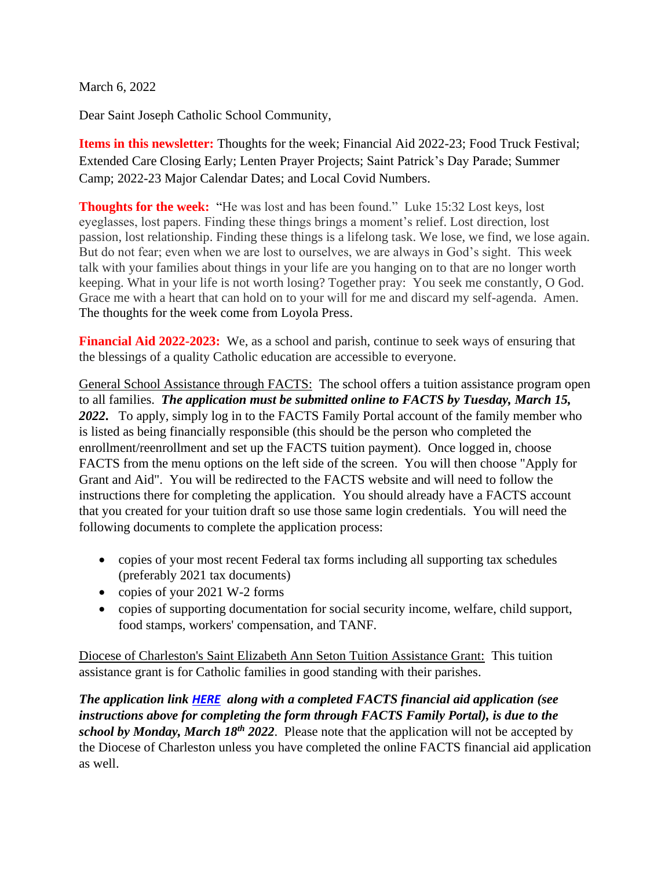March 6, 2022

Dear Saint Joseph Catholic School Community,

**Items in this newsletter:** Thoughts for the week; Financial Aid 2022-23; Food Truck Festival; Extended Care Closing Early; Lenten Prayer Projects; Saint Patrick's Day Parade; Summer Camp; 2022-23 Major Calendar Dates; and Local Covid Numbers.

**Thoughts for the week:** "He was lost and has been found." Luke 15:32 Lost keys, lost eyeglasses, lost papers. Finding these things brings a moment's relief. Lost direction, lost passion, lost relationship. Finding these things is a lifelong task. We lose, we find, we lose again. But do not fear; even when we are lost to ourselves, we are always in God's sight. This week talk with your families about things in your life are you hanging on to that are no longer worth keeping. What in your life is not worth losing? Together pray: You seek me constantly, O God. Grace me with a heart that can hold on to your will for me and discard my self-agenda. Amen. The thoughts for the week come from Loyola Press.

**Financial Aid 2022-2023:** We, as a school and parish, continue to seek ways of ensuring that the blessings of a quality Catholic education are accessible to everyone.

General School Assistance through FACTS: The school offers a tuition assistance program open to all families. *The application must be submitted online to FACTS by Tuesday, March 15, 2022***.** To apply, simply log in to the FACTS Family Portal account of the family member who is listed as being financially responsible (this should be the person who completed the enrollment/reenrollment and set up the FACTS tuition payment). Once logged in, choose FACTS from the menu options on the left side of the screen. You will then choose "Apply for Grant and Aid". You will be redirected to the FACTS website and will need to follow the instructions there for completing the application. You should already have a FACTS account that you created for your tuition draft so use those same login credentials. You will need the following documents to complete the application process:

- copies of your most recent Federal tax forms including all supporting tax schedules (preferably 2021 tax documents)
- copies of your 2021 W-2 forms
- copies of supporting documentation for social security income, welfare, child support, food stamps, workers' compensation, and TANF.

Diocese of Charleston's Saint Elizabeth Ann Seton Tuition Assistance Grant: This tuition assistance grant is for Catholic families in good standing with their parishes.

*The application link [HERE](https://www.stjosdevine.com/_files/ugd/8031f7_582fca7f5a1b46a7854d335b0c14e5ad.pdf) along with a completed FACTS financial aid application (see instructions above for completing the form through FACTS Family Portal), is due to the school by Monday, March 18th 2022*. Please note that the application will not be accepted by the Diocese of Charleston unless you have completed the online FACTS financial aid application as well.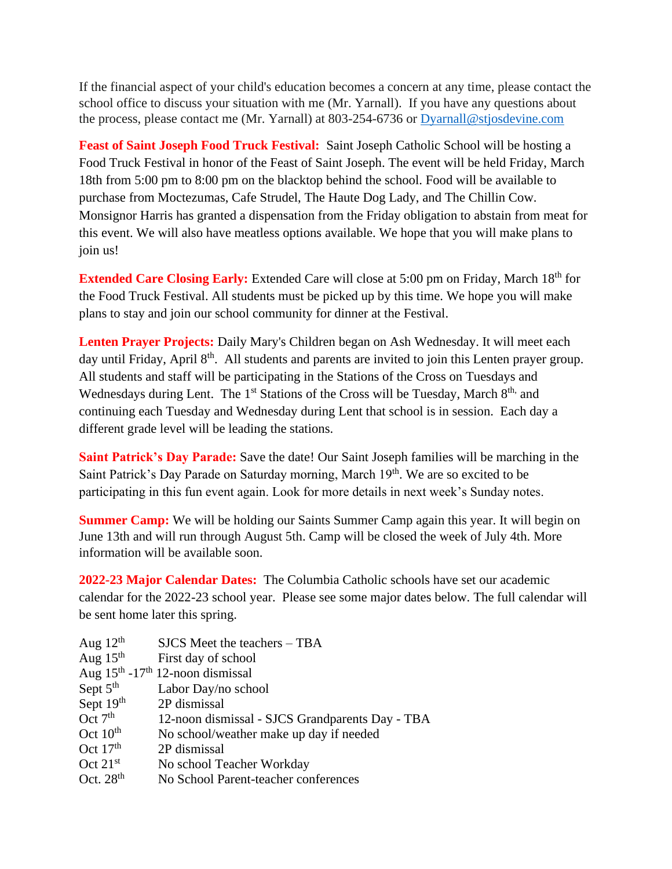If the financial aspect of your child's education becomes a concern at any time, please contact the school office to discuss your situation with me (Mr. Yarnall). If you have any questions about the process, please contact me (Mr. Yarnall) at 803-254-6736 or Dyarnall@stjosdevine.com

**Feast of Saint Joseph Food Truck Festival:** Saint Joseph Catholic School will be hosting a Food Truck Festival in honor of the Feast of Saint Joseph. The event will be held Friday, March 18th from 5:00 pm to 8:00 pm on the blacktop behind the school. Food will be available to purchase from Moctezumas, Cafe Strudel, The Haute Dog Lady, and The Chillin Cow. Monsignor Harris has granted a dispensation from the Friday obligation to abstain from meat for this event. We will also have meatless options available. We hope that you will make plans to join us!

**Extended Care Closing Early:** Extended Care will close at 5:00 pm on Friday, March 18<sup>th</sup> for the Food Truck Festival. All students must be picked up by this time. We hope you will make plans to stay and join our school community for dinner at the Festival.

**Lenten Prayer Projects:** Daily Mary's Children began on Ash Wednesday. It will meet each day until Friday, April 8<sup>th</sup>. All students and parents are invited to join this Lenten prayer group. All students and staff will be participating in the Stations of the Cross on Tuesdays and Wednesdays during Lent. The 1<sup>st</sup> Stations of the Cross will be Tuesday, March 8<sup>th,</sup> and continuing each Tuesday and Wednesday during Lent that school is in session. Each day a different grade level will be leading the stations.

**Saint Patrick's Day Parade:** Save the date! Our Saint Joseph families will be marching in the Saint Patrick's Day Parade on Saturday morning, March 19th. We are so excited to be participating in this fun event again. Look for more details in next week's Sunday notes.

**Summer Camp:** We will be holding our Saints Summer Camp again this year. It will begin on June 13th and will run through August 5th. Camp will be closed the week of July 4th. More information will be available soon.

**2022-23 Major Calendar Dates:** The Columbia Catholic schools have set our academic calendar for the 2022-23 school year. Please see some major dates below. The full calendar will be sent home later this spring.

| Aug $12^{th}$        | SJCS Meet the teachers – TBA                    |
|----------------------|-------------------------------------------------|
| Aug $15th$           | First day of school                             |
|                      | Aug $15th - 17th 12$ -noon dismissal            |
| Sept 5 <sup>th</sup> | Labor Day/no school                             |
| Sept 19th            | 2P dismissal                                    |
| Oct $7th$            | 12-noon dismissal - SJCS Grandparents Day - TBA |
| Oct $10^{\text{th}}$ | No school/weather make up day if needed         |
| Oct $17th$           | 2P dismissal                                    |
| Oct $21^{st}$        | No school Teacher Workday                       |
| Oct. $28th$          | No School Parent-teacher conferences            |